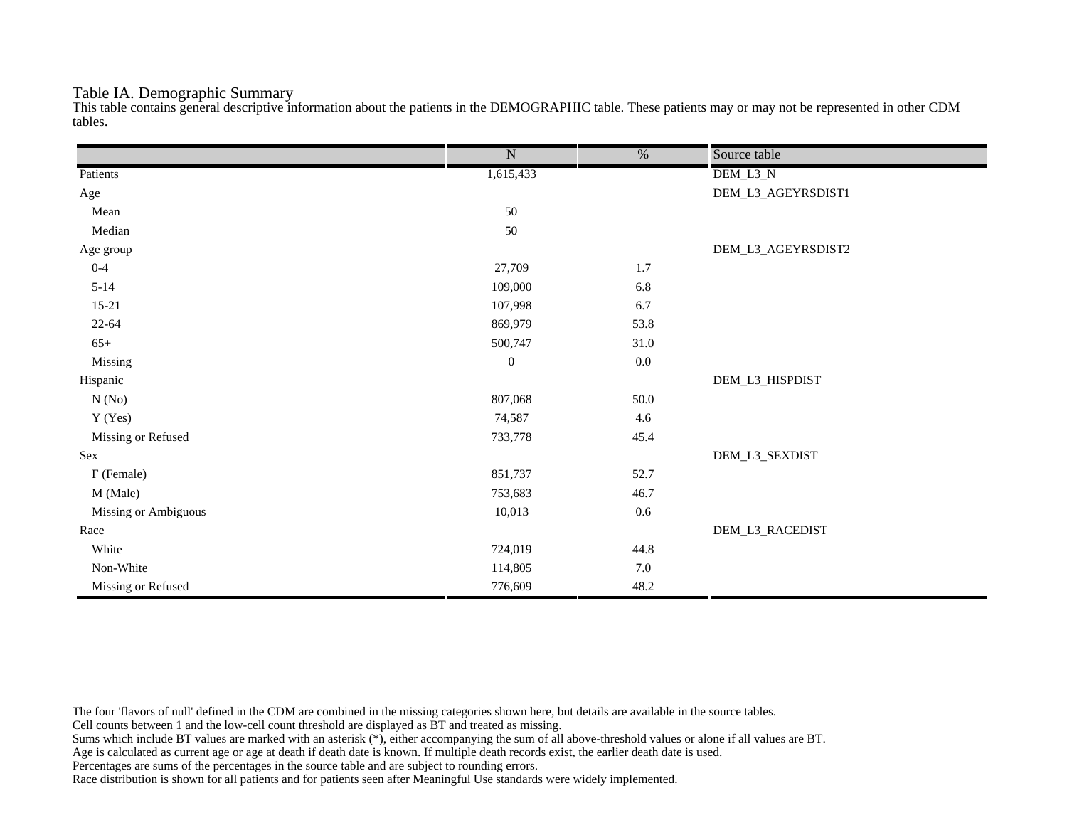## Table IA. Demographic Summary

This table contains general descriptive information about the patients in the DEMOGRAPHIC table. These patients may or may not be represented in other CDM tables.

|                      | $\overline{\text{N}}$ | $\frac{0}{6}$ | Source table       |
|----------------------|-----------------------|---------------|--------------------|
| Patients             | 1,615,433             |               | DEM_L3_N           |
| Age                  |                       |               | DEM_L3_AGEYRSDIST1 |
| Mean                 | 50                    |               |                    |
| Median               | 50                    |               |                    |
| Age group            |                       |               | DEM_L3_AGEYRSDIST2 |
| $0 - 4$              | 27,709                | 1.7           |                    |
| $5 - 14$             | 109,000               | 6.8           |                    |
| $15 - 21$            | 107,998               | 6.7           |                    |
| $22 - 64$            | 869,979               | 53.8          |                    |
| $65+$                | 500,747               | 31.0          |                    |
| Missing              | $\boldsymbol{0}$      | $0.0\,$       |                    |
| Hispanic             |                       |               | DEM_L3_HISPDIST    |
| N(No)                | 807,068               | 50.0          |                    |
| Y (Yes)              | 74,587                | 4.6           |                    |
| Missing or Refused   | 733,778               | 45.4          |                    |
| Sex                  |                       |               | DEM_L3_SEXDIST     |
| F (Female)           | 851,737               | 52.7          |                    |
| M (Male)             | 753,683               | 46.7          |                    |
| Missing or Ambiguous | 10,013                | $0.6\,$       |                    |
| Race                 |                       |               | DEM_L3_RACEDIST    |
| White                | 724,019               | 44.8          |                    |
| Non-White            | 114,805               | $7.0\,$       |                    |
| Missing or Refused   | 776,609               | 48.2          |                    |

The four 'flavors of null' defined in the CDM are combined in the missing categories shown here, but details are available in the source tables.

Cell counts between 1 and the low-cell count threshold are displayed as BT and treated as missing.

Sums which include BT values are marked with an asterisk (\*), either accompanying the sum of all above-threshold values or alone if all values are BT.

Age is calculated as current age or age at death if death date is known. If multiple death records exist, the earlier death date is used.

Percentages are sums of the percentages in the source table and are subject to rounding errors.

Race distribution is shown for all patients and for patients seen after Meaningful Use standards were widely implemented.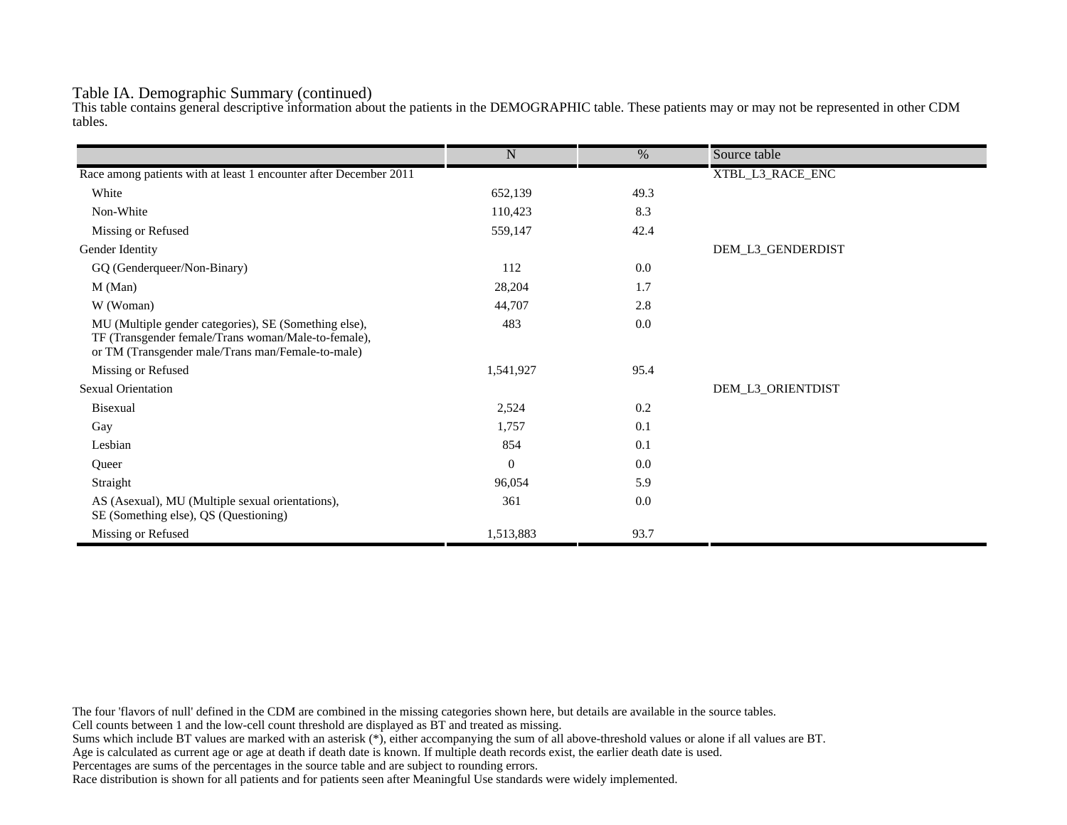## Table IA. Demographic Summary (continued)

This table contains general descriptive information about the patients in the DEMOGRAPHIC table. These patients may or may not be represented in other CDM tables.

|                                                                                                                                                                   | $\mathbf N$  | %    | Source table      |
|-------------------------------------------------------------------------------------------------------------------------------------------------------------------|--------------|------|-------------------|
| Race among patients with at least 1 encounter after December 2011                                                                                                 |              |      | XTBL_L3_RACE_ENC  |
| White                                                                                                                                                             | 652,139      | 49.3 |                   |
| Non-White                                                                                                                                                         | 110,423      | 8.3  |                   |
| Missing or Refused                                                                                                                                                | 559,147      | 42.4 |                   |
| Gender Identity                                                                                                                                                   |              |      | DEM_L3_GENDERDIST |
|                                                                                                                                                                   | 112          | 0.0  |                   |
| GQ (Genderqueer/Non-Binary)                                                                                                                                       |              |      |                   |
| M (Man)                                                                                                                                                           | 28,204       | 1.7  |                   |
| W (Woman)                                                                                                                                                         | 44,707       | 2.8  |                   |
| MU (Multiple gender categories), SE (Something else),<br>TF (Transgender female/Trans woman/Male-to-female),<br>or TM (Transgender male/Trans man/Female-to-male) | 483          | 0.0  |                   |
| Missing or Refused                                                                                                                                                | 1,541,927    | 95.4 |                   |
| <b>Sexual Orientation</b>                                                                                                                                         |              |      | DEM_L3_ORIENTDIST |
| Bisexual                                                                                                                                                          | 2,524        | 0.2  |                   |
| Gay                                                                                                                                                               | 1,757        | 0.1  |                   |
| Lesbian                                                                                                                                                           | 854          | 0.1  |                   |
| Queer                                                                                                                                                             | $\mathbf{0}$ | 0.0  |                   |
| Straight                                                                                                                                                          | 96,054       | 5.9  |                   |
| AS (Asexual), MU (Multiple sexual orientations),<br>SE (Something else), QS (Questioning)                                                                         | 361          | 0.0  |                   |
| Missing or Refused                                                                                                                                                | 1,513,883    | 93.7 |                   |

The four 'flavors of null' defined in the CDM are combined in the missing categories shown here, but details are available in the source tables.

Cell counts between 1 and the low-cell count threshold are displayed as BT and treated as missing.

Sums which include BT values are marked with an asterisk (\*), either accompanying the sum of all above-threshold values or alone if all values are BT.

Age is calculated as current age or age at death if death date is known. If multiple death records exist, the earlier death date is used.

Percentages are sums of the percentages in the source table and are subject to rounding errors.

Race distribution is shown for all patients and for patients seen after Meaningful Use standards were widely implemented.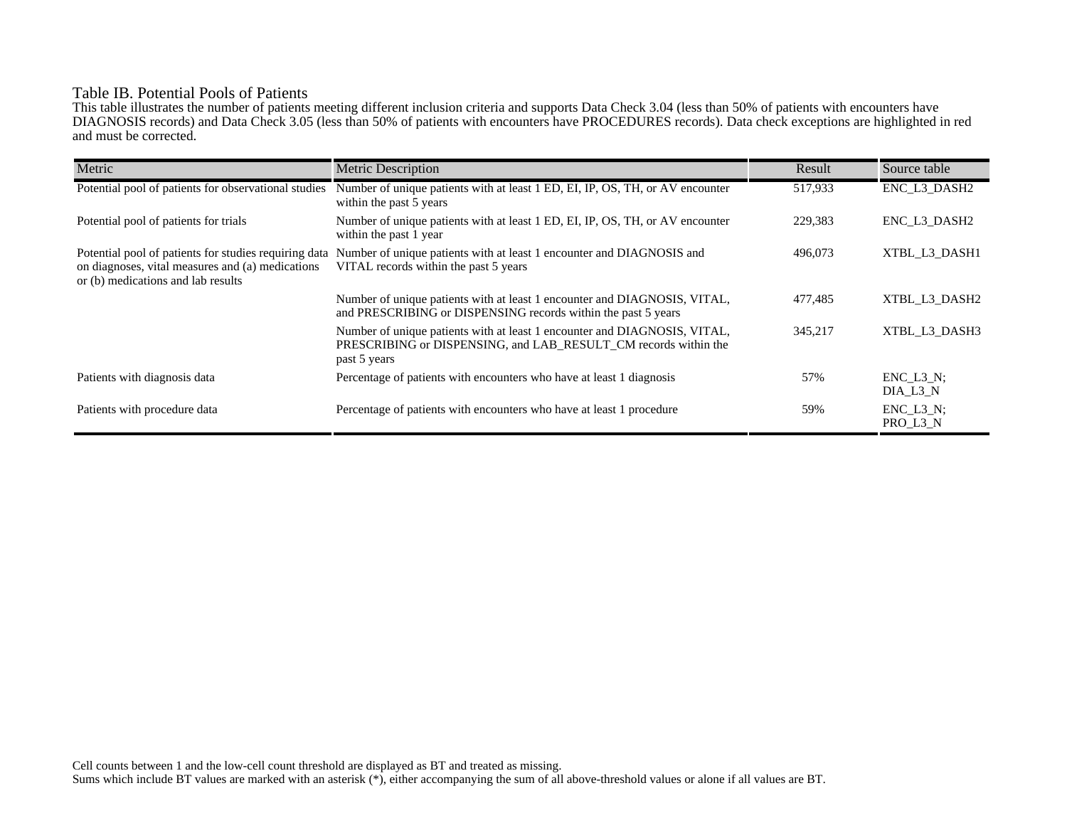## Table IB. Potential Pools of Patients

This table illustrates the number of patients meeting different inclusion criteria and supports Data Check 3.04 (less than 50% of patients with encounters have DIAGNOSIS records) and Data Check 3.05 (less than 50% of patients with encounters have PROCEDURES records). Data check exceptions are highlighted in red and must be corrected.

| Metric                                                                                                                                          | <b>Metric Description</b>                                                                                                                                    | Result  | Source table                 |
|-------------------------------------------------------------------------------------------------------------------------------------------------|--------------------------------------------------------------------------------------------------------------------------------------------------------------|---------|------------------------------|
| Potential pool of patients for observational studies                                                                                            | Number of unique patients with at least 1 ED, EI, IP, OS, TH, or AV encounter<br>within the past 5 years                                                     | 517,933 | ENC_L3_DASH2                 |
| Potential pool of patients for trials                                                                                                           | Number of unique patients with at least 1 ED, EI, IP, OS, TH, or AV encounter<br>within the past 1 year                                                      | 229,383 | ENC L3 DASH2                 |
| Potential pool of patients for studies requiring data<br>on diagnoses, vital measures and (a) medications<br>or (b) medications and lab results | Number of unique patients with at least 1 encounter and DIAGNOSIS and<br>VITAL records within the past 5 years                                               | 496,073 | XTBL L3 DASH1                |
|                                                                                                                                                 | Number of unique patients with at least 1 encounter and DIAGNOSIS, VITAL,<br>and PRESCRIBING or DISPENSING records within the past 5 years                   | 477,485 | XTBL L3 DASH2                |
|                                                                                                                                                 | Number of unique patients with at least 1 encounter and DIAGNOSIS, VITAL,<br>PRESCRIBING or DISPENSING, and LAB RESULT CM records within the<br>past 5 years | 345,217 | XTBL L3 DASH3                |
| Patients with diagnosis data                                                                                                                    | Percentage of patients with encounters who have at least 1 diagnosis                                                                                         | 57%     | $ENC$ $L3$ $N$ ;<br>DIA L3 N |
| Patients with procedure data                                                                                                                    | Percentage of patients with encounters who have at least 1 procedure                                                                                         | 59%     | $ENC_L3_N;$<br>PRO_L3_N      |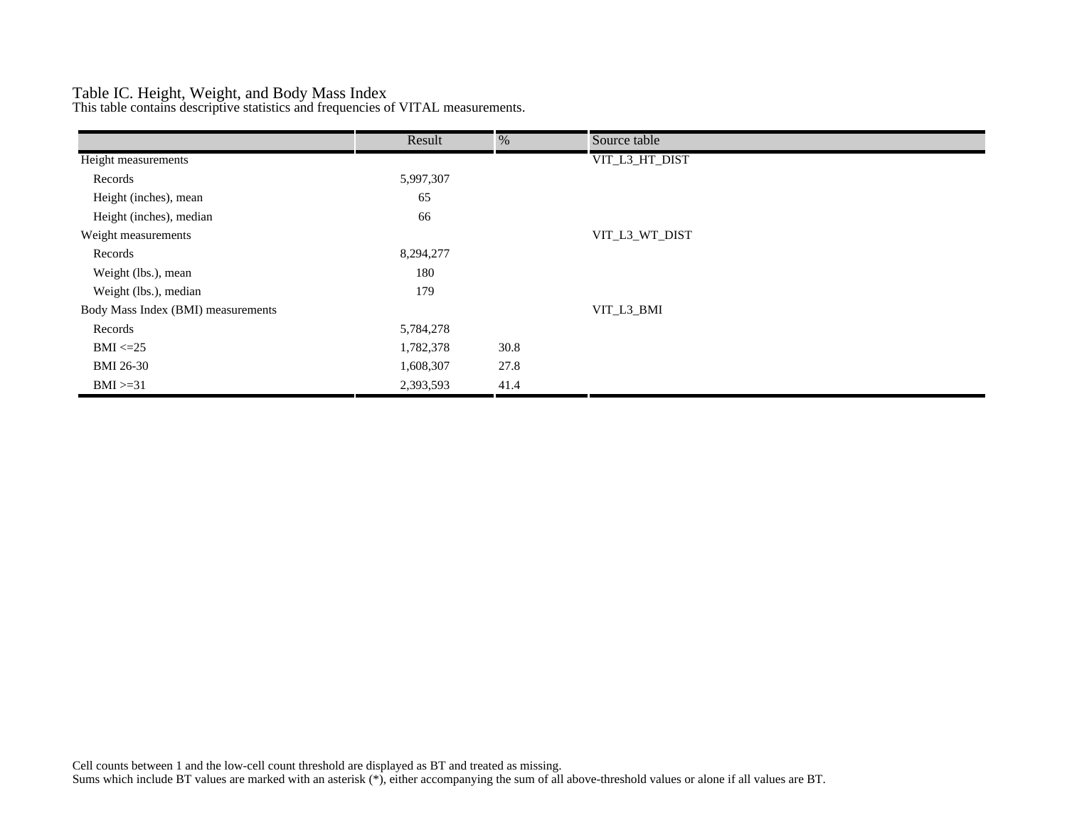## Table IC. Height, Weight, and Body Mass Index

This table contains descriptive statistics and frequencies of VITAL measurements.

|                                    | Result    | %    | Source table   |
|------------------------------------|-----------|------|----------------|
| Height measurements                |           |      | VIT_L3_HT_DIST |
| Records                            | 5,997,307 |      |                |
| Height (inches), mean              | 65        |      |                |
| Height (inches), median            | 66        |      |                |
| Weight measurements                |           |      | VIT_L3_WT_DIST |
| Records                            | 8,294,277 |      |                |
| Weight (lbs.), mean                | 180       |      |                |
| Weight (lbs.), median              | 179       |      |                |
| Body Mass Index (BMI) measurements |           |      | VIT_L3_BMI     |
| Records                            | 5,784,278 |      |                |
| $BMI \leq=25$                      | 1,782,378 | 30.8 |                |
| <b>BMI 26-30</b>                   | 1,608,307 | 27.8 |                |
| $BMI > = 31$                       | 2,393,593 | 41.4 |                |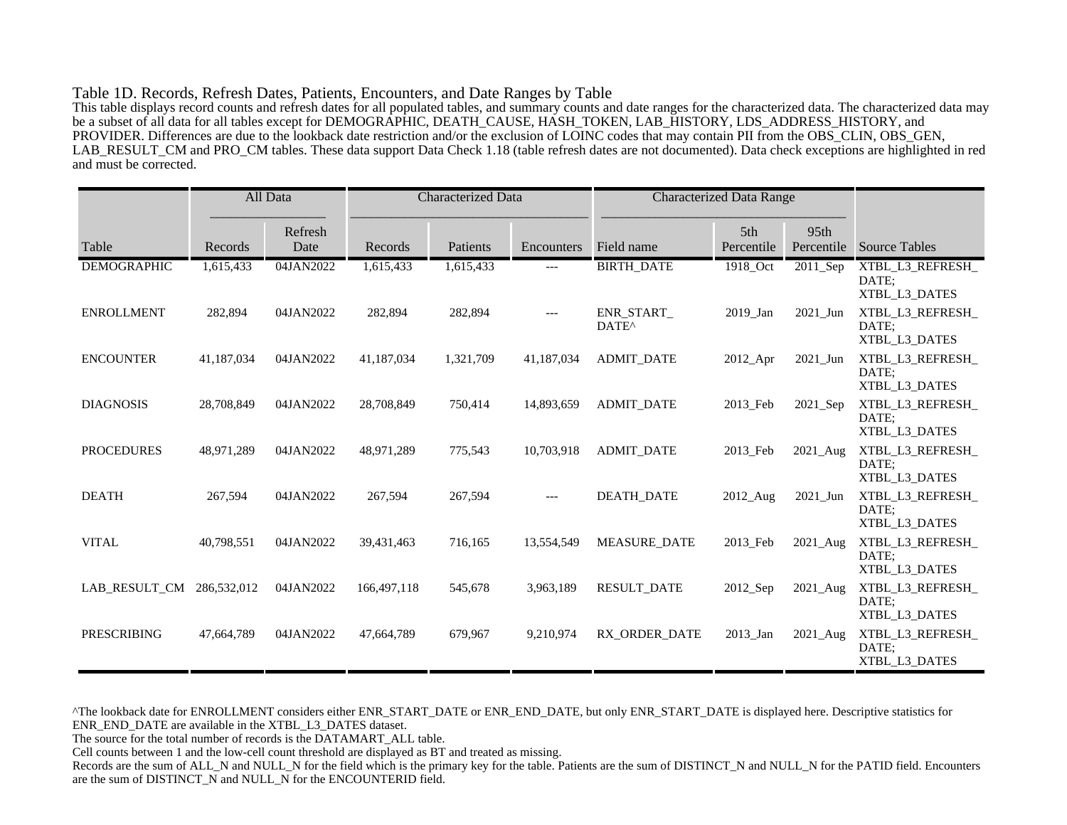#### Table 1D. Records, Refresh Dates, Patients, Encounters, and Date Ranges by Table

This table displays record counts and refresh dates for all populated tables, and summary counts and date ranges for the characterized data. The characterized data may be a subset of all data for all tables except for DEMOGRAPHIC, DEATH\_CAUSE, HASH\_TOKEN, LAB\_HISTORY, LDS\_ADDRESS\_HISTORY, and PROVIDER. Differences are due to the lookback date restriction and/or the exclusion of LOINC codes that may contain PII from the OBS\_CLIN, OBS\_GEN, LAB\_RESULT\_CM and PRO\_CM tables. These data support Data Check 1.18 (table refresh dates are not documented). Data check exceptions are highlighted in red and must be corrected.

|                    |             | All Data        | <b>Characterized Data</b> |           | <b>Characterized Data Range</b> |                                 |                   |                    |                                            |
|--------------------|-------------|-----------------|---------------------------|-----------|---------------------------------|---------------------------------|-------------------|--------------------|--------------------------------------------|
| Table              | Records     | Refresh<br>Date | Records                   | Patients  | Encounters                      | Field name                      | 5th<br>Percentile | 95th<br>Percentile | <b>Source Tables</b>                       |
| <b>DEMOGRAPHIC</b> | 1,615,433   | 04JAN2022       | 1,615,433                 | 1,615,433 | ---                             | <b>BIRTH_DATE</b>               | 1918_Oct          | 2011_Sep           | XTBL_L3_REFRESH_<br>DATE:<br>XTBL L3 DATES |
| <b>ENROLLMENT</b>  | 282,894     | 04JAN2022       | 282,894                   | 282,894   | $---$                           | ENR_START_<br>DATE <sup>^</sup> | 2019_Jan          | $2021$ _Jun        | XTBL_L3_REFRESH_<br>DATE:<br>XTBL_L3_DATES |
| <b>ENCOUNTER</b>   | 41,187,034  | 04JAN2022       | 41,187,034                | 1,321,709 | 41,187,034                      | <b>ADMIT DATE</b>               | $2012$ _Apr       | 2021 Jun           | XTBL_L3_REFRESH_<br>DATE:<br>XTBL_L3_DATES |
| <b>DIAGNOSIS</b>   | 28,708,849  | 04JAN2022       | 28,708,849                | 750,414   | 14,893,659                      | <b>ADMIT_DATE</b>               | 2013_Feb          | 2021_Sep           | XTBL_L3_REFRESH_<br>DATE;<br>XTBL_L3_DATES |
| <b>PROCEDURES</b>  | 48,971,289  | 04JAN2022       | 48,971,289                | 775,543   | 10,703,918                      | <b>ADMIT DATE</b>               | 2013 Feb          | 2021 Aug           | XTBL L3 REFRESH<br>DATE:<br>XTBL_L3_DATES  |
| <b>DEATH</b>       | 267,594     | 04JAN2022       | 267,594                   | 267,594   | $---$                           | <b>DEATH DATE</b>               | 2012_Aug          | 2021 Jun           | XTBL_L3_REFRESH_<br>DATE:<br>XTBL_L3_DATES |
| <b>VITAL</b>       | 40,798,551  | 04JAN2022       | 39,431,463                | 716,165   | 13,554,549                      | <b>MEASURE DATE</b>             | 2013 Feb          | 2021_Aug           | XTBL_L3_REFRESH_<br>DATE:<br>XTBL_L3_DATES |
| LAB_RESULT_CM      | 286,532,012 | 04JAN2022       | 166,497,118               | 545,678   | 3,963,189                       | <b>RESULT_DATE</b>              | 2012_Sep          | 2021_Aug           | XTBL_L3_REFRESH_<br>DATE:<br>XTBL_L3_DATES |
| <b>PRESCRIBING</b> | 47,664,789  | 04JAN2022       | 47,664,789                | 679,967   | 9,210,974                       | RX ORDER DATE                   | 2013 Jan          | 2021_Aug           | XTBL_L3_REFRESH_<br>DATE:<br>XTBL_L3_DATES |

^The lookback date for ENROLLMENT considers either ENR\_START\_DATE or ENR\_END\_DATE, but only ENR\_START\_DATE is displayed here. Descriptive statistics for ENR\_END\_DATE are available in the XTBL\_L3\_DATES dataset.

The source for the total number of records is the DATAMART\_ALL table.

Cell counts between 1 and the low-cell count threshold are displayed as BT and treated as missing.

Records are the sum of ALL\_N and NULL\_N for the field which is the primary key for the table. Patients are the sum of DISTINCT\_N and NULL\_N for the PATID field. Encounters are the sum of DISTINCT\_N and NULL\_N for the ENCOUNTERID field.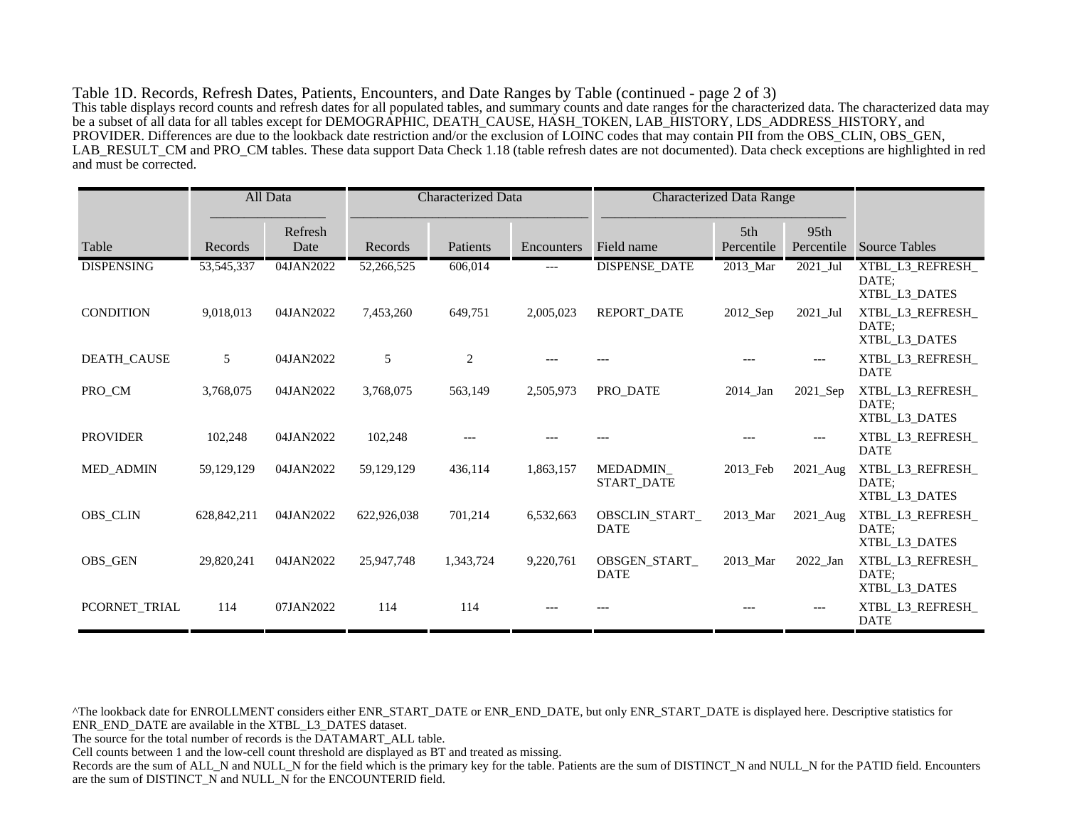Table 1D. Records, Refresh Dates, Patients, Encounters, and Date Ranges by Table (continued - page 2 of 3) This table displays record counts and refresh dates for all populated tables, and summary counts and date ranges for the characterized data. The characterized data may be a subset of all data for all tables except for DEMOGRAPHIC, DEATH\_CAUSE, HASH\_TOKEN, LAB\_HISTORY, LDS\_ADDRESS\_HISTORY, and PROVIDER. Differences are due to the lookback date restriction and/or the exclusion of LOINC codes that may contain PII from the OBS\_CLIN, OBS\_GEN, LAB\_RESULT\_CM and PRO\_CM tables. These data support Data Check 1.18 (table refresh dates are not documented). Data check exceptions are highlighted in red and must be corrected.

|                    |              | All Data        | <b>Characterized Data</b> |           | <b>Characterized Data Range</b> |                               |                        |                        |                                            |
|--------------------|--------------|-----------------|---------------------------|-----------|---------------------------------|-------------------------------|------------------------|------------------------|--------------------------------------------|
| Table              | Records      | Refresh<br>Date | Records                   | Patients  | Encounters                      | Field name                    | 5th<br>Percentile      | 95th<br>Percentile     | <b>Source Tables</b>                       |
| <b>DISPENSING</b>  | 53, 545, 337 | 04JAN2022       | 52,266,525                | 606,014   | $---$                           | <b>DISPENSE_DATE</b>          | 2013_Mar               | $2021$ _Jul            | XTBL_L3_REFRESH_<br>DATE;<br>XTBL_L3_DATES |
| <b>CONDITION</b>   | 9,018,013    | 04JAN2022       | 7,453,260                 | 649,751   | 2,005,023                       | <b>REPORT DATE</b>            | $2012$ <sub>-Sep</sub> | 2021_Jul               | XTBL_L3_REFRESH_<br>DATE:<br>XTBL_L3_DATES |
| <b>DEATH_CAUSE</b> | 5            | 04JAN2022       | 5                         | 2         |                                 |                               |                        |                        | XTBL_L3_REFRESH_<br><b>DATE</b>            |
| PRO_CM             | 3,768,075    | 04JAN2022       | 3,768,075                 | 563,149   | 2,505,973                       | PRO DATE                      | 2014 Jan               | $2021$ <sub>_Sep</sub> | XTBL_L3_REFRESH_<br>DATE:<br>XTBL_L3_DATES |
| <b>PROVIDER</b>    | 102,248      | 04JAN2022       | 102,248                   |           |                                 |                               |                        |                        | XTBL L3 REFRESH<br><b>DATE</b>             |
| <b>MED ADMIN</b>   | 59,129,129   | 04JAN2022       | 59,129,129                | 436,114   | 1,863,157                       | MEDADMIN<br><b>START DATE</b> | 2013 Feb               | 2021_Aug               | XTBL_L3_REFRESH_<br>DATE;<br>XTBL_L3_DATES |
| <b>OBS_CLIN</b>    | 628,842,211  | 04JAN2022       | 622,926,038               | 701,214   | 6,532,663                       | OBSCLIN_START_<br><b>DATE</b> | 2013_Mar               | 2021_Aug               | XTBL_L3_REFRESH_<br>DATE:<br>XTBL L3 DATES |
| <b>OBS_GEN</b>     | 29,820,241   | 04JAN2022       | 25,947,748                | 1,343,724 | 9,220,761                       | OBSGEN START<br><b>DATE</b>   | 2013 Mar               | 2022 Jan               | XTBL_L3_REFRESH_<br>DATE:<br>XTBL L3 DATES |
| PCORNET_TRIAL      | 114          | 07JAN2022       | 114                       | 114       |                                 |                               |                        |                        | XTBL_L3_REFRESH_<br><b>DATE</b>            |

^The lookback date for ENROLLMENT considers either ENR\_START\_DATE or ENR\_END\_DATE, but only ENR\_START\_DATE is displayed here. Descriptive statistics for ENR\_END\_DATE are available in the XTBL\_L3\_DATES dataset.

The source for the total number of records is the DATAMART\_ALL table.

Cell counts between 1 and the low-cell count threshold are displayed as BT and treated as missing.

Records are the sum of ALL\_N and NULL\_N for the field which is the primary key for the table. Patients are the sum of DISTINCT\_N and NULL\_N for the PATID field. Encounters are the sum of DISTINCT\_N and NULL\_N for the ENCOUNTERID field.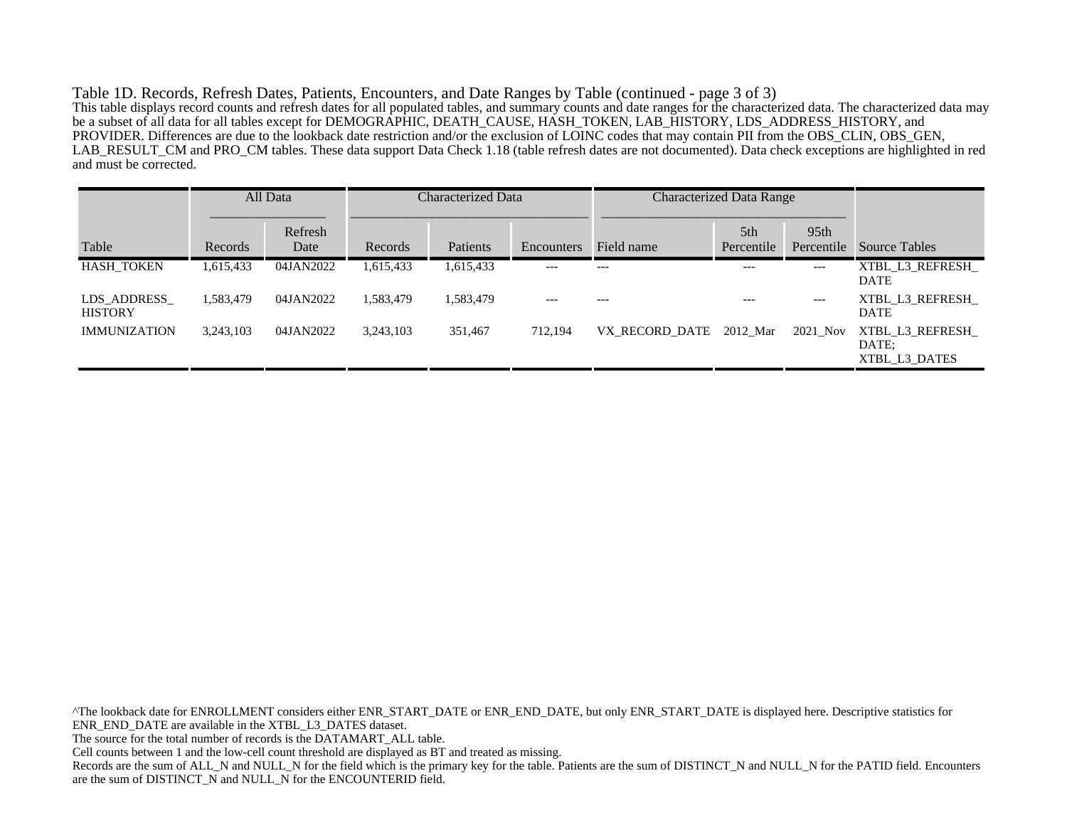Table 1D. Records, Refresh Dates, Patients, Encounters, and Date Ranges by Table (continued - page 3 of 3) This table displays record counts and refresh dates for all populated tables, and summary counts and date ranges for the characterized data. The characterized data may be a subset of all data for all tables except for DEMOGRAPHIC, DEATH\_CAUSE, HASH\_TOKEN, LAB\_HISTORY, LDS\_ADDRESS\_HISTORY, and PROVIDER. Differences are due to the lookback date restriction and/or the exclusion of LOINC codes that may contain PII from the OBS\_CLIN, OBS\_GEN, LAB\_RESULT\_CM and PRO\_CM tables. These data support Data Check 1.18 (table refresh dates are not documented). Data check exceptions are highlighted in red and must be corrected.

|                               |           | All Data        | <b>Characterized Data</b> |           |            |                | <b>Characterized Data Range</b> |                                |                                           |
|-------------------------------|-----------|-----------------|---------------------------|-----------|------------|----------------|---------------------------------|--------------------------------|-------------------------------------------|
| Table                         | Records   | Refresh<br>Date | Records                   | Patients  | Encounters | Field name     | 5th<br>Percentile               | 95 <sub>th</sub><br>Percentile | Source Tables                             |
| <b>HASH TOKEN</b>             | 1,615,433 | 04JAN2022       | 1,615,433                 | 1,615,433 | $---$      | $---$          | $---$                           | $---$                          | XTBL L3 REFRESH<br><b>DATE</b>            |
| LDS ADDRESS<br><b>HISTORY</b> | 1,583,479 | 04JAN2022       | 1,583,479                 | 1,583,479 | $---$      |                | $---$                           | $---$                          | XTBL L3 REFRESH<br><b>DATE</b>            |
| <b>IMMUNIZATION</b>           | 3,243,103 | 04JAN2022       | 3,243,103                 | 351,467   | 712,194    | VX RECORD DATE | 2012 Mar                        | 2021_Nov                       | XTBL L3 REFRESH<br>DATE:<br>XTBL L3 DATES |

^The lookback date for ENROLLMENT considers either ENR\_START\_DATE or ENR\_END\_DATE, but only ENR\_START\_DATE is displayed here. Descriptive statistics for ENR\_END\_DATE are available in the XTBL\_L3\_DATES dataset. The source for the total number of records is the DATAMART\_ALL table. Cell counts between 1 and the low-cell count threshold are displayed as BT and treated as missing. Records are the sum of ALL\_N and NULL\_N for the field which is the primary key for the table. Patients are the sum of DISTINCT\_N and NULL\_N for the PATID field. Encounters are the sum of DISTINCT\_N and NULL\_N for the ENCOUNTERID field.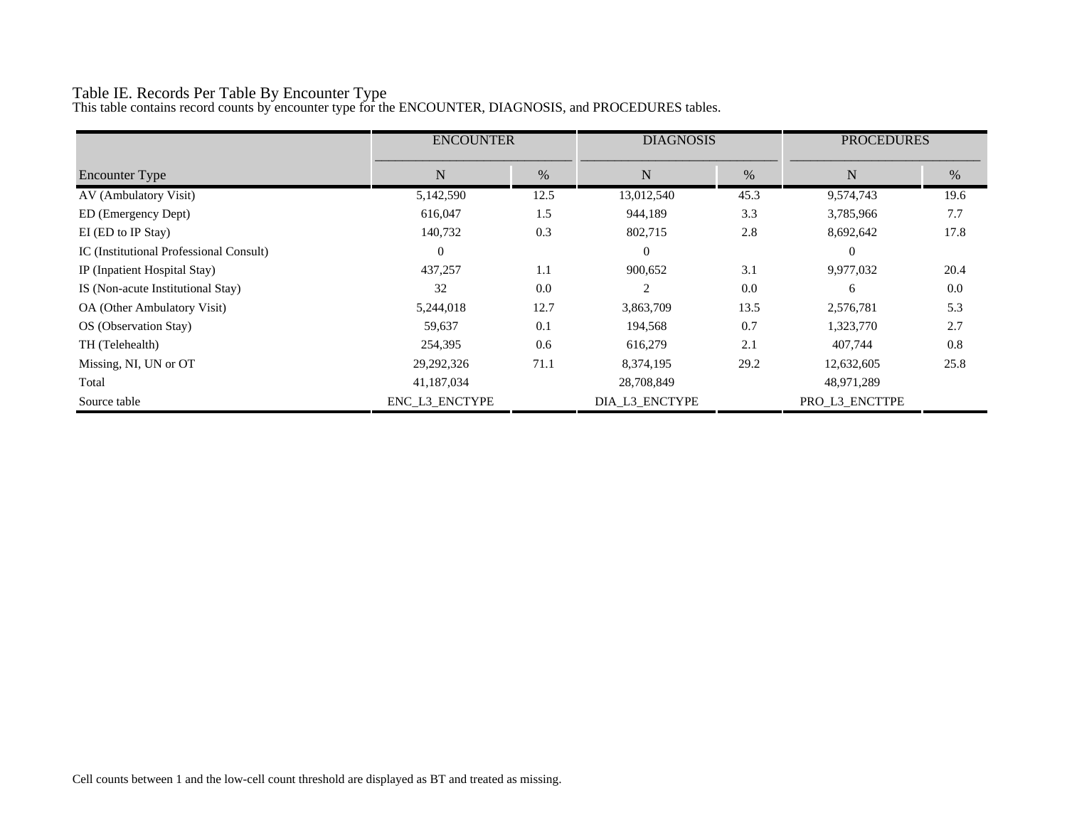# Table IE. Records Per Table By Encounter Type

This table contains record counts by encounter type for the ENCOUNTER, DIAGNOSIS, and PROCEDURES tables.

|                                         | <b>ENCOUNTER</b> |      | <b>DIAGNOSIS</b> |      | <b>PROCEDURES</b> |      |
|-----------------------------------------|------------------|------|------------------|------|-------------------|------|
| <b>Encounter Type</b>                   | N                | $\%$ | N                | $\%$ | N                 | $\%$ |
| AV (Ambulatory Visit)                   | 5,142,590        | 12.5 | 13,012,540       | 45.3 | 9,574,743         | 19.6 |
| ED (Emergency Dept)                     | 616,047          | 1.5  | 944,189          | 3.3  | 3,785,966         | 7.7  |
| EI (ED to IP Stay)                      | 140,732          | 0.3  | 802,715          | 2.8  | 8,692,642         | 17.8 |
| IC (Institutional Professional Consult) | $\theta$         |      | $\Omega$         |      | $\Omega$          |      |
| IP (Inpatient Hospital Stay)            | 437,257          | 1.1  | 900,652          | 3.1  | 9,977,032         | 20.4 |
| IS (Non-acute Institutional Stay)       | 32               | 0.0  | $\mathfrak{D}$   | 0.0  | 6                 | 0.0  |
| OA (Other Ambulatory Visit)             | 5,244,018        | 12.7 | 3,863,709        | 13.5 | 2,576,781         | 5.3  |
| OS (Observation Stay)                   | 59,637           | 0.1  | 194,568          | 0.7  | 1,323,770         | 2.7  |
| TH (Telehealth)                         | 254,395          | 0.6  | 616,279          | 2.1  | 407,744           | 0.8  |
| Missing, NI, UN or OT                   | 29,292,326       | 71.1 | 8,374,195        | 29.2 | 12,632,605        | 25.8 |
| Total                                   | 41,187,034       |      | 28,708,849       |      | 48,971,289        |      |
| Source table                            | ENC L3 ENCTYPE   |      | DIA_L3_ENCTYPE   |      | PRO L3 ENCTTPE    |      |